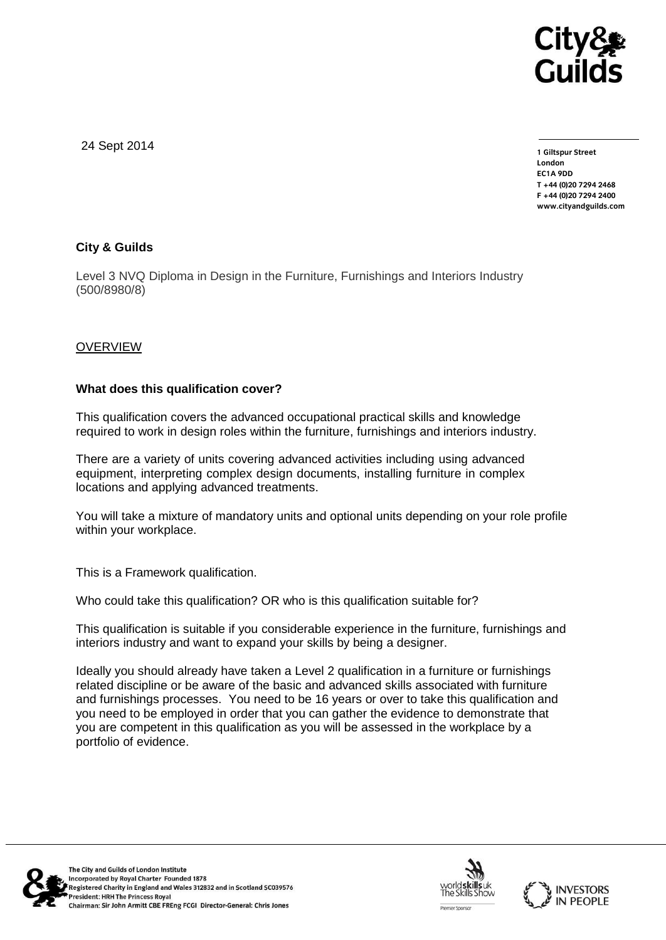

24 Sept 2014

**1 Giltspur Street EC1A 9DD** T +44 (0) 20 7 294 2468 **T +44 (0)20 7294 246[8](http://www.cityandguilds.com/) F +44 (0)20 7294 2400 [www.cityandguilds.com](http://www.cityandguilds.com/)**

# **City & Guilds**

Level 3 NVQ Diploma in Design in the Furniture, Furnishings and Interiors Industry (500/8980/8)

## OVERVIEW

## **What does this qualification cover?**

This qualification covers the advanced occupational practical skills and knowledge required to work in design roles within the furniture, furnishings and interiors industry.

There are a variety of units covering advanced activities including using advanced equipment, interpreting complex design documents, installing furniture in complex locations and applying advanced treatments.

You will take a mixture of mandatory units and optional units depending on your role profile within your workplace.

This is a Framework qualification.

Who could take this qualification? OR who is this qualification suitable for?

This qualification is suitable if you considerable experience in the furniture, furnishings and interiors industry and want to expand your skills by being a designer.

Ideally you should already have taken a Level 2 qualification in a furniture or furnishings related discipline or be aware of the basic and advanced skills associated with furniture and furnishings processes. You need to be 16 years or over to take this qualification and you need to be employed in order that you can gather the evidence to demonstrate that you are competent in this qualification as you will be assessed in the workplace by a portfolio of evidence.